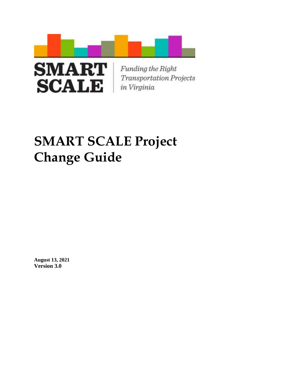



Funding the Right **Transportation Projects** in Virginia

# **SMART SCALE Project Change Guide**

**August 13, 2021 Version 3.0**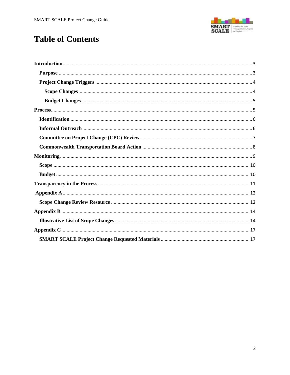

# **Table of Contents**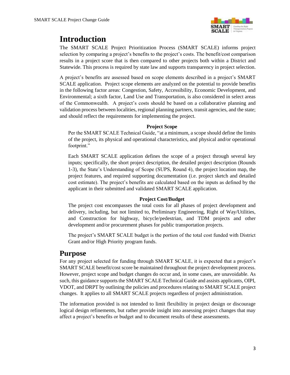

# <span id="page-2-0"></span>**Introduction**

The SMART SCALE Project Prioritization Process (SMART SCALE) informs project selection by comparing a project's benefits to the project's costs. The benefit/cost comparison results in a project score that is then compared to other projects both within a District and Statewide. This process is required by state law and supports transparency in project selection.

A project's benefits are assessed based on scope elements described in a project's SMART SCALE application. Project scope elements are analyzed on the potential to provide benefits in the following factor areas: Congestion, Safety, Accessibility, Economic Development, and Environmental; a sixth factor, Land Use and Transportation, is also considered in select areas of the Commonwealth. A project's costs should be based on a collaborative planning and validation process between localities, regional planning partners, transit agencies, and the state; and should reflect the requirements for implementing the project.

#### **Project Scope**

Per the SMART SCALE Technical Guide, "at a minimum, a scope should define the limits of the project, its physical and operational characteristics, and physical and/or operational footprint."

Each SMART SCALE application defines the scope of a project through several key inputs; specifically, the short project description, the detailed project description (Rounds 1-3), the State's Understanding of Scope (SUPS, Round 4), the project location map, the project features, and required supporting documentation (i.e. project sketch and detailed cost estimate). The project's benefits are calculated based on the inputs as defined by the applicant in their submitted and validated SMART SCALE application.

#### **Project Cost/Budget**

The project cost encompasses the total costs for all phases of project development and delivery, including, but not limited to, Preliminary Engineering, Right of Way/Utilities, and Construction for highway, bicycle/pedestrian, and TDM projects and other development and/or procurement phases for public transportation projects.

The project's SMART SCALE budget is the portion of the total cost funded with District Grant and/or High Priority program funds.

#### <span id="page-2-1"></span>**Purpose**

For any project selected for funding through SMART SCALE, it is expected that a project's SMART SCALE benefit/cost score be maintained throughout the project development process. However, project scope and budget changes do occur and, in some cases, are unavoidable. As such, this guidance supports the SMART SCALE Technical Guide and assists applicants, OIPI, VDOT, and DRPT by outlining the policies and procedures relating to SMART SCALE project changes. It applies to all SMART SCALE projects regardless of project administration.

The information provided is not intended to limit flexibility in project design or discourage logical design refinements, but rather provide insight into assessing project changes that may affect a project's benefits or budget and to document results of these assessments.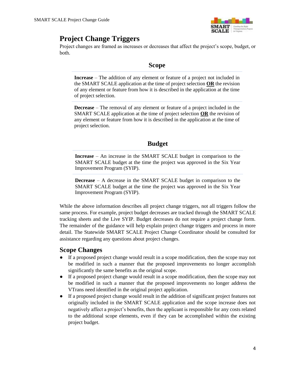

# <span id="page-3-0"></span>**Project Change Triggers**

Project changes are framed as increases or decreases that affect the project's scope, budget, or both.

#### **Scope**

**Increase** – The addition of any element or feature of a project not included in the SMART SCALE application at the time of project selection **OR** the revision of any element or feature from how it is described in the application at the time of project selection.

**Decrease** – The removal of any element or feature of a project included in the SMART SCALE application at the time of project selection **OR** the revision of any element or feature from how it is described in the application at the time of project selection.

#### **Budget**

**Increase** – An increase in the SMART SCALE budget in comparison to the SMART SCALE budget at the time the project was approved in the Six Year Improvement Program (SYIP).

**Decrease** – A decrease in the SMART SCALE budget in comparison to the SMART SCALE budget at the time the project was approved in the Six Year Improvement Program (SYIP).

While the above information describes all project change triggers, not all triggers follow the same process. For example, project budget decreases are tracked through the SMART SCALE tracking sheets and the Live SYIP. Budget decreases do not require a project change form. The remainder of the guidance will help explain project change triggers and process in more detail. The Statewide SMART SCALE Project Change Coordinator should be consulted for assistance regarding any questions about project changes.

#### <span id="page-3-1"></span>**Scope Changes**

- If a proposed project change would result in a scope modification, then the scope may not be modified in such a manner that the proposed improvements no longer accomplish significantly the same benefits as the original scope.
- If a proposed project change would result in a scope modification, then the scope may not be modified in such a manner that the proposed improvements no longer address the VTrans need identified in the original project application.
- If a proposed project change would result in the addition of significant project features not originally included in the SMART SCALE application and the scope increase does not negatively affect a project's benefits, then the applicant is responsible for any costs related to the additional scope elements, even if they can be accomplished within the existing project budget.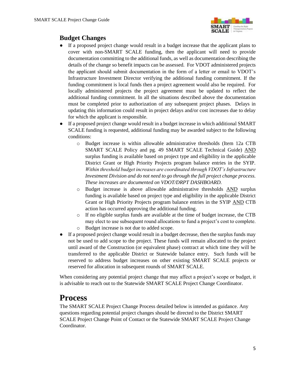

#### <span id="page-4-0"></span>**Budget Changes**

- If a proposed project change would result in a budget increase that the applicant plans to cover with non-SMART SCALE funding, then the applicant will need to provide documentation committing to the additional funds, as well as documentation describing the details of the change so benefit impacts can be assessed. For VDOT administered projects the applicant should submit documentation in the form of a letter or email to VDOT's Infrastructure Investment Director verifying the additional funding commitment. If the funding commitment is local funds then a project agreement would also be required. For locally administered projects the project agreement must be updated to reflect the additional funding commitment. In all the situations described above the documentation must be completed prior to authorization of any subsequent project phases. Delays in updating this information could result in project delays and/or cost increases due to delay for which the applicant is responsible.
- If a proposed project change would result in a budget increase in which additional SMART SCALE funding is requested, additional funding may be awarded subject to the following conditions:
	- o Budget increase is within allowable administrative thresholds (Item 12a CTB SMART SCALE Policy and pg. 49 SMART SCALE Technical Guide) AND surplus funding is available based on project type and eligibility in the applicable District Grant or High Priority Projects program balance entries in the SYIP. *Within threshold budget increases are coordinated through VDOT's Infrastructure Investment Division and do not need to go through the full project change process. These increases are documented on VDOT/DRPT DASHBOARD.*
	- o Budget increase is above allowable administrative thresholds AND surplus funding is available based on project type and eligibility in the applicable District Grant or High Priority Projects program balance entries in the SYIP AND CTB action has occurred approving the additional funding.
	- $\circ$  If no eligible surplus funds are available at the time of budget increase, the CTB may elect to use subsequent round allocations to fund a project's cost to complete.
	- o Budget increase is not due to added scope.
- If a proposed project change would result in a budget decrease, then the surplus funds may not be used to add scope to the project. These funds will remain allocated to the project until award of the Construction (or equivalent phase) contract at which time they will be transferred to the applicable District or Statewide balance entry. Such funds will be reserved to address budget increases on other existing SMART SCALE projects or reserved for allocation in subsequent rounds of SMART SCALE.

When considering any potential project change that may affect a project's scope or budget, it is advisable to reach out to the Statewide SMART SCALE Project Change Coordinator.

# <span id="page-4-1"></span>**Process**

The SMART SCALE Project Change Process detailed below is intended as guidance. Any questions regarding potential project changes should be directed to the District SMART SCALE Project Change Point of Contact or the Statewide SMART SCALE Project Change Coordinator.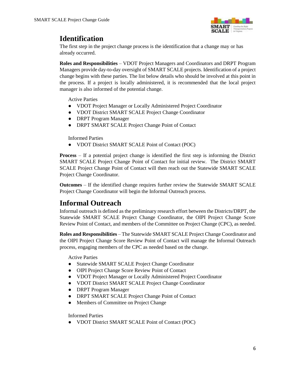

## <span id="page-5-0"></span>**Identification**

The first step in the project change process is the identification that a change may or has already occurred.

**Roles and Responsibilities** – VDOT Project Managers and Coordinators and DRPT Program Managers provide day-to-day oversight of SMART SCALE projects. Identification of a project change begins with these parties. The list below details who should be involved at this point in the process. If a project is locally administered, it is recommended that the local project manager is also informed of the potential change.

Active Parties

- VDOT Project Manager or Locally Administered Project Coordinator
- VDOT District SMART SCALE Project Change Coordinator
- DRPT Program Manager
- DRPT SMART SCALE Project Change Point of Contact

Informed Parties

● VDOT District SMART SCALE Point of Contact (POC)

**Process** – If a potential project change is identified the first step is informing the District SMART SCALE Project Change Point of Contact for initial review. The District SMART SCALE Project Change Point of Contact will then reach out the Statewide SMART SCALE Project Change Coordinator.

**Outcomes** – If the identified change requires further review the Statewide SMART SCALE Project Change Coordinator will begin the Informal Outreach process.

### <span id="page-5-1"></span>**Informal Outreach**

Informal outreach is defined as the preliminary research effort between the Districts/DRPT, the Statewide SMART SCALE Project Change Coordinator, the OIPI Project Change Score Review Point of Contact, and members of the Committee on Project Change (CPC), as needed.

**Roles and Responsibilities** – The Statewide SMART SCALE Project Change Coordinator and the OIPI Project Change Score Review Point of Contact will manage the Informal Outreach process, engaging members of the CPC as needed based on the change.

Active Parties

- Statewide SMART SCALE Project Change Coordinator
- OIPI Project Change Score Review Point of Contact
- VDOT Project Manager or Locally Administered Project Coordinator
- VDOT District SMART SCALE Project Change Coordinator
- DRPT Program Manager
- DRPT SMART SCALE Project Change Point of Contact
- Members of Committee on Project Change

Informed Parties

● VDOT District SMART SCALE Point of Contact (POC)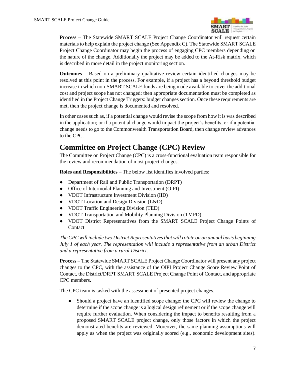

**Process** – The Statewide SMART SCALE Project Change Coordinator will request certain materials to help explain the project change (See Appendix C). The Statewide SMART SCALE Project Change Coordinator may begin the process of engaging CPC members depending on the nature of the change. Additionally the project may be added to the At-Risk matrix, which is described in more detail in the project monitoring section.

**Outcomes** – Based on a preliminary qualitative review certain identified changes may be resolved at this point in the process. For example, if a project has a beyond threshold budget increase in which non-SMART SCALE funds are being made available to cover the additional cost and project scope has not changed; then appropriate documentation must be completed as identified in the Project Change Triggers: budget changes section. Once these requirements are met, then the project change is documented and resolved.

In other cases such as, if a potential change would revise the scope from how it is was described in the application; or if a potential change would impact the project's benefits, or if a potential change needs to go to the Commonwealth Transportation Board, then change review advances to the CPC.

### <span id="page-6-0"></span>**Committee on Project Change (CPC) Review**

The Committee on Project Change (CPC) is a cross-functional evaluation team responsible for the review and recommendation of most project changes.

**Roles and Responsibilities** – The below list identifies involved parties:

- Department of Rail and Public Transportation (DRPT)
- Office of Intermodal Planning and Investment (OIPI)
- VDOT Infrastructure Investment Division (IID)
- VDOT Location and Design Division (L&D)
- VDOT Traffic Engineering Division (TED)
- VDOT Transportation and Mobility Planning Division (TMPD)
- VDOT District Representatives from the SMART SCALE Project Change Points of **Contact**

*The CPC will include two District Representatives that will rotate on an annual basis beginning July 1 of each year. The representation will include a representative from an urban District and a representative from a rural District.* 

**Process** – The Statewide SMART SCALE Project Change Coordinator will present any project changes to the CPC, with the assistance of the OIPI Project Change Score Review Point of Contact, the District/DRPT SMART SCALE Project Change Point of Contact, and appropriate CPC members.

The CPC team is tasked with the assessment of presented project changes.

• Should a project have an identified scope change; the CPC will review the change to determine if the scope change is a logical design refinement or if the scope change will require further evaluation. When considering the impact to benefits resulting from a proposed SMART SCALE project change, only those factors in which the project demonstrated benefits are reviewed. Moreover, the same planning assumptions will apply as when the project was originally scored (e.g., economic development sites).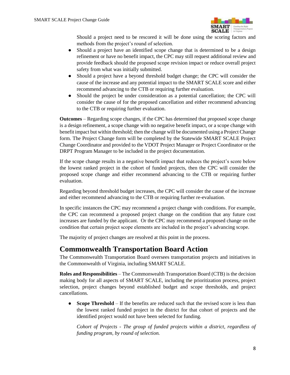

Should a project need to be rescored it will be done using the scoring factors and methods from the project's round of selection.

- Should a project have an identified scope change that is determined to be a design refinement or have no benefit impact, the CPC may still request additional review and provide feedback should the proposed scope revision impact or reduce overall project safety from what was initially submitted.
- Should a project have a beyond threshold budget change; the CPC will consider the cause of the increase and any potential impact to the SMART SCALE score and either recommend advancing to the CTB or requiring further evaluation.
- Should the project be under consideration as a potential cancellation; the CPC will consider the cause of for the proposed cancellation and either recommend advancing to the CTB or requiring further evaluation.

**Outcomes** – Regarding scope changes, if the CPC has determined that proposed scope change is a design refinement, a scope change with no negative benefit impact, or a scope change with benefit impact but within threshold; then the change will be documented using a Project Change form. The Project Change form will be completed by the Statewide SMART SCALE Project Change Coordinator and provided to the VDOT Project Manager or Project Coordinator or the DRPT Program Manager to be included in the project documentation.

If the scope change results in a negative benefit impact that reduces the project's score below the lowest ranked project in the cohort of funded projects, then the CPC will consider the proposed scope change and either recommend advancing to the CTB or requiring further evaluation.

Regarding beyond threshold budget increases, the CPC will consider the cause of the increase and either recommend advancing to the CTB or requiring further re-evaluation.

In specific instances the CPC may recommend a project change with conditions. For example, the CPC can recommend a proposed project change on the condition that any future cost increases are funded by the applicant. Or the CPC may recommend a proposed change on the condition that certain project scope elements are included in the project's advancing scope.

The majority of project changes are resolved at this point in the process.

### <span id="page-7-0"></span>**Commonwealth Transportation Board Action**

The Commonwealth Transportation Board oversees transportation projects and initiatives in the Commonwealth of Virginia, including SMART SCALE.

**Roles and Responsibilities** – The Commonwealth Transportation Board (CTB) is the decision making body for all aspects of SMART SCALE, including the prioritization process, project selection, project changes beyond established budget and scope thresholds, and project cancellations.

• **Scope Threshold** – If the benefits are reduced such that the revised score is less than the lowest ranked funded project in the district for that cohort of projects and the identified project would not have been selected for funding.

*Cohort of Projects - The group of funded projects within a district, regardless of funding program, by round of selection.*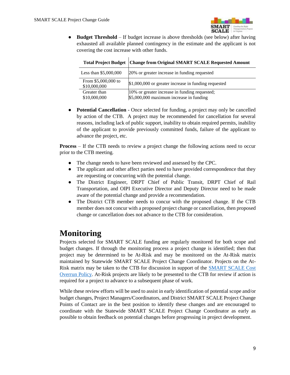

● **Budget Threshold** – If budget increase is above thresholds (see below) after having exhausted all available planned contingency in the estimate and the applicant is not covering the cost increase with other funds.

|                                     | Total Project Budget   Change from Original SMART SCALE Requested Amount |
|-------------------------------------|--------------------------------------------------------------------------|
| Less than \$5,000,000               | 20% or greater increase in funding requested                             |
| From \$5,000,000 to<br>\$10,000,000 | \$1,000,000 or greater increase in funding requested                     |
| Greater than                        | 10% or greater increase in funding requested;                            |
| \$10,000,000                        | \$5,000,000 maximum increase in funding                                  |

• **Potential Cancellation** - Once selected for funding, a project may only be cancelled by action of the CTB. A project may be recommended for cancellation for several reasons, including lack of public support, inability to obtain required permits, inability of the applicant to provide previously committed funds, failure of the applicant to advance the project, etc.

**Process** – If the CTB needs to review a project change the following actions need to occur prior to the CTB meeting.

- The change needs to have been reviewed and assessed by the CPC.
- The applicant and other affect parties need to have provided correspondence that they are requesting or concurring with the potential change.
- The District Engineer, DRPT Chief of Public Transit, DRPT Chief of Rail Transportation, and OIPI Executive Director and Deputy Director need to be made aware of the potential change and provide a recommendation.
- The District CTB member needs to concur with the proposed change. If the CTB member does not concur with a proposed project change or cancellation, then proposed change or cancellation does not advance to the CTB for consideration.

# <span id="page-8-0"></span>**Monitoring**

Projects selected for SMART SCALE funding are regularly monitored for both scope and budget changes. If through the monitoring process a project change is identified; then that project may be determined to be At-Risk and may be monitored on the At-Risk matrix maintained by Statewide SMART SCALE Project Change Coordinator. Projects on the At-Risk matrix may be taken to the CTB for discussion in support of the [SMART SCALE Cost](http://www.ctb.virginia.gov/resources/2018/oct/reso/12.pdf)  [Overrun Policy.](http://www.ctb.virginia.gov/resources/2018/oct/reso/12.pdf) At-Risk projects are likely to be presented to the CTB for review if action is required for a project to advance to a subsequent phase of work.

While these review efforts will be used to assist in early identification of potential scope and/or budget changes, Project Managers/Coordinators, and District SMART SCALE Project Change Points of Contact are in the best position to identify these changes and are encouraged to coordinate with the Statewide SMART SCALE Project Change Coordinator as early as possible to obtain feedback on potential changes before progressing in project development.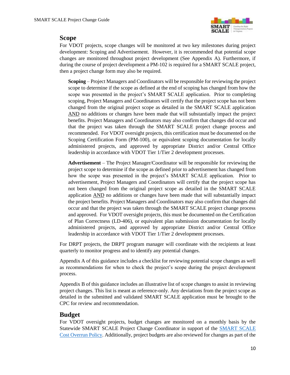

#### <span id="page-9-0"></span>**Scope**

For VDOT projects, scope changes will be monitored at two key milestones during project development: Scoping and Advertisement. However, it is recommended that potential scope changes are monitored throughout project development (See Appendix A). Furthermore, if during the course of project development a PM-102 is required for a SMART SCALE project, then a project change form may also be required.

**Scoping** – Project Managers and Coordinators will be responsible for reviewing the project scope to determine if the scope as defined at the end of scoping has changed from how the scope was presented in the project's SMART SCALE application. Prior to completing scoping, Project Managers and Coordinators will certify that the project scope has not been changed from the original project scope as detailed in the SMART SCALE application AND no additions or changes have been made that will substantially impact the project benefits. Project Managers and Coordinators may also confirm that changes did occur and that the project was taken through the SMART SCALE project change process and recommended. For VDOT oversight projects, this certification must be documented on the Scoping Certification Form (PM-100), or equivalent scoping documentation for locally administered projects, and approved by appropriate District and/or Central Office leadership in accordance with VDOT Tier 1/Tier 2 development processes.

**Advertisement** – The Project Manager/Coordinator will be responsible for reviewing the project scope to determine if the scope as defined prior to advertisement has changed from how the scope was presented in the project's SMART SCALE application. Prior to advertisement, Project Managers and Coordinators will certify that the project scope has not been changed from the original project scope as detailed in the SMART SCALE application AND no additions or changes have been made that will substantially impact the project benefits. Project Managers and Coordinators may also confirm that changes did occur and that the project was taken through the SMART SCALE project change process and approved. For VDOT oversight projects, this must be documented on the Certification of Plan Correctness (LD-406), or equivalent plan submission documentation for locally administered projects, and approved by appropriate District and/or Central Office leadership in accordance with VDOT Tier 1/Tier 2 development processes.

For DRPT projects, the DRPT program manager will coordinate with the recipients at least quarterly to monitor progress and to identify any potential changes.

Appendix A of this guidance includes a checklist for reviewing potential scope changes as well as recommendations for when to check the project's scope during the project development process.

Appendix B of this guidance includes an illustrative list of scope changes to assist in reviewing project changes. This list is meant as reference-only. Any deviations from the project scope as detailed in the submitted and validated SMART SCALE application must be brought to the CPC for review and recommendation.

#### <span id="page-9-1"></span>**Budget**

For VDOT oversight projects, budget changes are monitored on a monthly basis by the Statewide SMART SCALE Project Change Coordinator in support of the [SMART SCALE](http://www.ctb.virginia.gov/resources/2018/oct/reso/12.pdf)  [Cost Overrun Policy.](http://www.ctb.virginia.gov/resources/2018/oct/reso/12.pdf) Additionally, project budgets are also reviewed for changes as part of the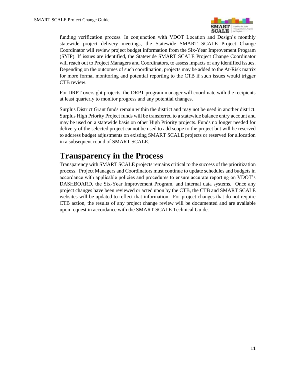

funding verification process. In conjunction with VDOT Location and Design's monthly statewide project delivery meetings, the Statewide SMART SCALE Project Change Coordinator will review project budget information from the Six-Year Improvement Program (SYIP). If issues are identified, the Statewide SMART SCALE Project Change Coordinator will reach out to Project Managers and Coordinators, to assess impacts of any identified issues. Depending on the outcomes of such coordination, projects may be added to the At-Risk matrix for more formal monitoring and potential reporting to the CTB if such issues would trigger CTB review.

For DRPT oversight projects, the DRPT program manager will coordinate with the recipients at least quarterly to monitor progress and any potential changes.

Surplus District Grant funds remain within the district and may not be used in another district. Surplus High Priority Project funds will be transferred to a statewide balance entry account and may be used on a statewide basis on other High Priority projects. Funds no longer needed for delivery of the selected project cannot be used to add scope to the project but will be reserved to address budget adjustments on existing SMART SCALE projects or reserved for allocation in a subsequent round of SMART SCALE.

# <span id="page-10-0"></span>**Transparency in the Process**

Transparency with SMART SCALE projects remains critical to the success of the prioritization process. Project Managers and Coordinators must continue to update schedules and budgets in accordance with applicable policies and procedures to ensure accurate reporting on VDOT's DASHBOARD, the Six-Year Improvement Program, and internal data systems. Once any project changes have been reviewed or acted upon by the CTB, the CTB and SMART SCALE websites will be updated to reflect that information. For project changes that do not require CTB action, the results of any project change review will be documented and are available upon request in accordance with the SMART SCALE Technical Guide.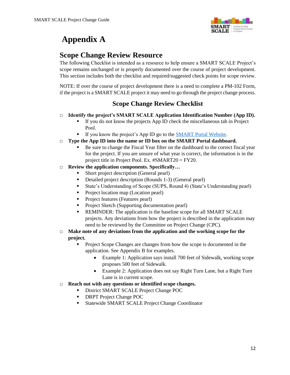

# <span id="page-11-0"></span>**Appendix A**

### <span id="page-11-1"></span>**Scope Change Review Resource**

The following Checklist is intended as a resource to help ensure a SMART SCALE Project's scope remains unchanged or is properly documented over the course of project development. This section includes both the checklist and required/suggested check points for scope review.

NOTE: If over the course of project development there is a need to complete a PM-102 Form, if the project is a SMART SCALE project it may need to go through the project change process.

#### **Scope Change Review Checklist**

- □ **Identify the project's SMART SCALE Application Identification Number (App ID).** 
	- If you do not know the projects App ID check the miscellaneous tab in Project Pool.
	- If you know the project's App ID go to the **SMART** Portal Website.
- □ **Type the App ID into the name or ID box on the SMART Portal dashboard.** 
	- Be sure to change the Fiscal Year filter on the dashboard to the correct fiscal year for the project. If you are unsure of what year is correct, the information is in the project title in Project Pool. Ex. #SMART20 = FY20.
- □ **Review the application components. Specifically…**
	- Short project description (General pearl)
	- Detailed project description (Rounds 1-3) (General pearl)
	- State's Understanding of Scope (SUPS, Round 4) (State's Understanding pearl)
	- Project location map (Location pearl)
	- Project features (Features pearl)
	- **Project Sketch (Supporting documentation pearl)**
	- **REMINDER:** The application is the baseline scope for all SMART SCALE projects. Any deviations from how the project is described in the application may need to be reviewed by the Committee on Project Change (CPC).
- □ Make note of any deviations from the application and the working scope for the **project.**
	- Project Scope Changes are changes from how the scope is documented in the application. See Appendix B for examples.
		- Example 1: Application says install 700 feet of Sidewalk, working scope proposes 500 feet of Sidewalk.
		- Example 2: Application does not say Right Turn Lane, but a Right Turn Lane is in current scope.
- □ **Reach out with any questions or identified scope changes.**
	- District SMART SCALE Project Change POC
	- DRPT Project Change POC
	- **Statewide SMART SCALE Project Change Coordinator**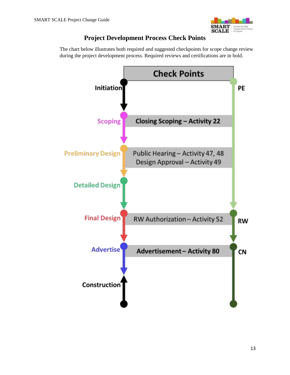

#### **Project Development Process Check Points**

The chart below illustrates both required and suggested checkpoints for scope change review during the project development process. Required reviews and certifications are in bold.

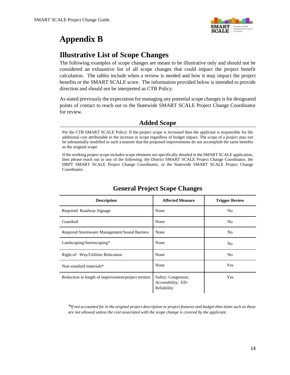

# <span id="page-13-0"></span>**Appendix B**

### <span id="page-13-1"></span>**Illustrative List of Scope Changes**

The following examples of scope changes are meant to be illustrative only and should not be considered an exhaustive list of all scope changes that could impact the project benefit calculation. The tables include when a review is needed and how it may impact the project benefits or the SMART SCALE score. The information provided below is intended to provide direction and should not be interpreted as CTB Policy.

As stated previously the expectation for managing any potential scope changes is for designated points of contact to reach out to the Statewide SMART SCALE Project Change Coordinator for review.

#### **Added Scope**

If the working project scope includes scope elements not specifically detailed in the SMART SCALE application, then please reach out to any of the following: the District SMART SCALE Project Change Coordinator, the DRPT SMART SCALE Project Change Coordinator, or the Statewide SMART SCALE Project Change Coordinator.

| <b>Description</b>                                 | <b>Affected Measure</b>                                  | <b>Trigger Review</b> |
|----------------------------------------------------|----------------------------------------------------------|-----------------------|
| Required Roadway Signage                           | None                                                     | N <sub>0</sub>        |
| Guardrail                                          | None                                                     | N <sub>0</sub>        |
| Required Stormwater Management/Sound Barriers      | None                                                     | N <sub>0</sub>        |
| Landscaping/Streetscaping*                         | None                                                     | N <sub>0</sub>        |
| Right-of-Way/Utilities Relocation                  | None                                                     | N <sub>0</sub>        |
| Non-standard materials*                            | None                                                     | <b>Yes</b>            |
| Reduction in length of improvement/project termini | Safety; Congestion;<br>Accessibility; ED-<br>Reliability | Yes                   |

#### **General Project Scope Changes**

*\*If not accounted for in the original project description or project features and budget then items such as these are not allowed unless the cost associated with the scope change is covered by the applicant.*

Per the CTB SMART SCALE Policy: If the project scope is increased then the applicant is responsible for the additional cost attributable to the increase in scope regardless of budget impact. The scope of a project may not be substantially modified in such a manner that the proposed improvements do not accomplish the same benefits as the original scope.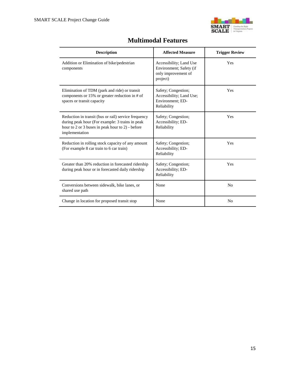

| <b>Description</b>                                                                                                                                                            | <b>Affected Measure</b>                                                               | <b>Trigger Review</b> |
|-------------------------------------------------------------------------------------------------------------------------------------------------------------------------------|---------------------------------------------------------------------------------------|-----------------------|
| Addition or Elimination of bike/pedestrian<br>components                                                                                                                      | Accessibility; Land Use<br>Environment; Safety (if<br>only improvement of<br>project) | Yes                   |
| Elimination of TDM (park and ride) or transit<br>components or $15\%$ or greater reduction in # of<br>spaces or transit capacity                                              | Safety; Congestion;<br>Accessibility; Land Use;<br>Environment; ED-<br>Reliability    | Yes                   |
| Reduction in transit (bus or rail) service frequency<br>during peak hour (For example: 3 trains in peak<br>hour to 2 or 3 buses in peak hour to 2) - before<br>implementation | Safety; Congestion;<br>Accessibility; ED-<br>Reliability                              | Yes                   |
| Reduction in rolling stock capacity of any amount<br>(For example 8 car train to 6 car train)                                                                                 | Safety; Congestion;<br>Accessibility; ED-<br>Reliability                              | Yes                   |
| Greater than 20% reduction in forecasted ridership<br>during peak hour or in forecasted daily ridership                                                                       | Safety; Congestion;<br>Accessibility; ED-<br>Reliability                              | Yes                   |
| Conversions between sidewalk, bike lanes, or<br>shared use path                                                                                                               | None                                                                                  | N <sub>0</sub>        |
| Change in location for proposed transit stop                                                                                                                                  | None                                                                                  | N <sub>0</sub>        |

### **Multimodal Features**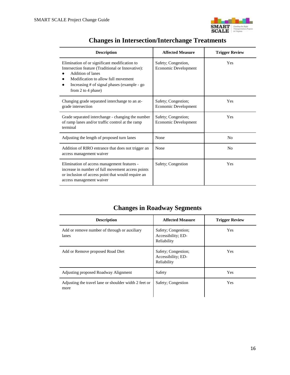

| <b>Description</b>                                                                                                                                                                                                                  | <b>Affected Measure</b>                     | <b>Trigger Review</b> |  |
|-------------------------------------------------------------------------------------------------------------------------------------------------------------------------------------------------------------------------------------|---------------------------------------------|-----------------------|--|
| Elimination of or significant modification to<br>Intersection feature (Traditional or Innovative):<br>Addition of lanes<br>Modification to allow full movement<br>Increasing # of signal phases (example - go<br>from 2 to 4 phase) | Safety; Congestion,<br>Economic Development | <b>Yes</b>            |  |
| Changing grade separated interchange to an at-<br>grade intersection                                                                                                                                                                | Safety; Congestion;<br>Economic Development | <b>Yes</b>            |  |
| Grade separated interchange - changing the number<br>of ramp lanes and/or traffic control at the ramp<br>terminal                                                                                                                   | Safety; Congestion;<br>Economic Development | <b>Yes</b>            |  |
| Adjusting the length of proposed turn lanes                                                                                                                                                                                         | None                                        | N <sub>0</sub>        |  |
| Addition of RIRO entrance that does not trigger an<br>access management waiver                                                                                                                                                      | None                                        | N <sub>0</sub>        |  |
| Elimination of access management features -<br>increase in number of full movement access points<br>or inclusion of access point that would require an<br>access management waiver                                                  | Safety; Congestion                          | <b>Yes</b>            |  |

# **Changes in Intersection/Interchange Treatments**

# **Changes in Roadway Segments**

| <b>Description</b>                                            | <b>Affected Measure</b>                                  | <b>Trigger Review</b> |
|---------------------------------------------------------------|----------------------------------------------------------|-----------------------|
| Add or remove number of through or auxiliary<br>lanes         | Safety; Congestion;<br>Accessibility; ED-<br>Reliability | <b>Yes</b>            |
| Add or Remove proposed Road Diet                              | Safety; Congestion;<br>Accessibility; ED-<br>Reliability | <b>Yes</b>            |
| Adjusting proposed Roadway Alignment                          | Safety                                                   | Yes                   |
| Adjusting the travel lane or shoulder width 2 feet or<br>more | Safety; Congestion                                       | <b>Yes</b>            |